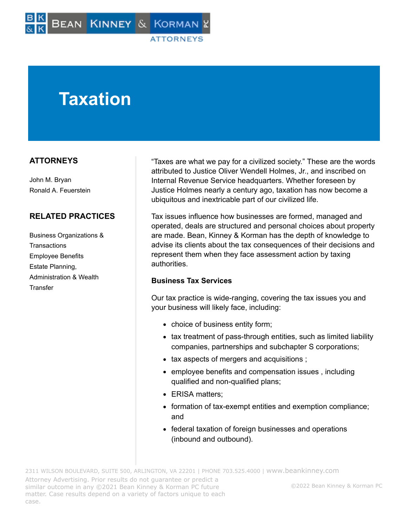# **Taxation**

# **ATTORNEYS**

John M. Bryan Ronald A. Feuerstein

# **RELATED PRACTICES**

Business Organizations & **Transactions** Employee Benefits Estate Planning, Administration & Wealth **Transfer** 

"Taxes are what we pay for a civilized society." These are the words attributed to Justice Oliver Wendell Holmes, Jr., and inscribed on Internal Revenue Service headquarters. Whether foreseen by Justice Holmes nearly a century ago, taxation has now become a ubiquitous and inextricable part of our civilized life.

Tax issues influence how businesses are formed, managed and operated, deals are structured and personal choices about property are made. Bean, Kinney & Korman has the depth of knowledge to advise its clients about the tax consequences of their decisions and represent them when they face assessment action by taxing authorities.

### **Business Tax Services**

Our tax practice is wide-ranging, covering the tax issues you and your business will likely face, including:

- choice of business entity form;
- tax treatment of pass-through entities, such as limited liability companies, partnerships and subchapter S corporations;
- tax aspects of mergers and acquisitions ;
- employee benefits and compensation issues, including qualified and non-qualified plans;
- ERISA matters:
- formation of tax-exempt entities and exemption compliance; and
- federal taxation of foreign businesses and operations (inbound and outbound).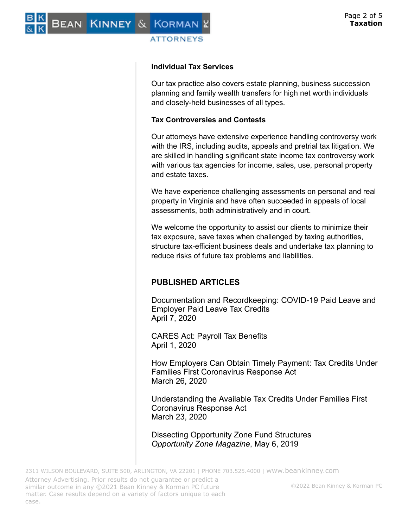#### **Individual Tax Services**

**ATTORNEYS** 

BEAN KINNEY & KORMAN

Our tax practice also covers estate planning, business succession planning and family wealth transfers for high net worth individuals and closely-held businesses of all types.

#### **Tax Controversies and Contests**

Our attorneys have extensive experience handling controversy work with the IRS, including audits, appeals and pretrial tax litigation. We are skilled in handling significant state income tax controversy work with various tax agencies for income, sales, use, personal property and estate taxes.

We have experience challenging assessments on personal and real property in Virginia and have often succeeded in appeals of local assessments, both administratively and in court.

We welcome the opportunity to assist our clients to minimize their tax exposure, save taxes when challenged by taxing authorities, structure tax-efficient business deals and undertake tax planning to reduce risks of future tax problems and liabilities.

### **PUBLISHED ARTICLES**

Documentation and Recordkeeping: COVID-19 Paid Leave and Employer Paid Leave Tax Credits April 7, 2020

CARES Act: Payroll Tax Benefits April 1, 2020

How Employers Can Obtain Timely Payment: Tax Credits Under Families First Coronavirus Response Act March 26, 2020

Understanding the Available Tax Credits Under Families First Coronavirus Response Act March 23, 2020

Dissecting Opportunity Zone Fund Structures *Opportunity Zone Magazine*, May 6, 2019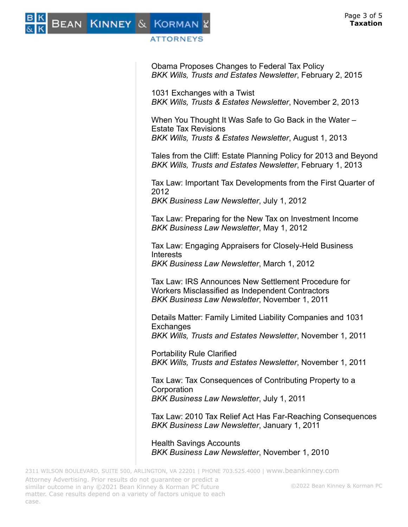

#### **ATTORNEYS**

Obama Proposes Changes to Federal Tax Policy *BKK Wills, Trusts and Estates Newsletter*, February 2, 2015

1031 Exchanges with a Twist *BKK Wills, Trusts & Estates Newsletter*, November 2, 2013

When You Thought It Was Safe to Go Back in the Water – Estate Tax Revisions *BKK Wills, Trusts & Estates Newsletter*, August 1, 2013

Tales from the Cliff: Estate Planning Policy for 2013 and Beyond *BKK Wills, Trusts and Estates Newsletter*, February 1, 2013

Tax Law: Important Tax Developments from the First Quarter of 2012

*BKK Business Law Newsletter*, July 1, 2012

Tax Law: Preparing for the New Tax on Investment Income *BKK Business Law Newsletter*, May 1, 2012

Tax Law: Engaging Appraisers for Closely-Held Business Interests *BKK Business Law Newsletter*, March 1, 2012

Tax Law: IRS Announces New Settlement Procedure for Workers Misclassified as Independent Contractors *BKK Business Law Newsletter*, November 1, 2011

Details Matter: Family Limited Liability Companies and 1031 **Exchanges** 

*BKK Wills, Trusts and Estates Newsletter*, November 1, 2011

Portability Rule Clarified *BKK Wills, Trusts and Estates Newsletter*, November 1, 2011

Tax Law: Tax Consequences of Contributing Property to a **Corporation** *BKK Business Law Newsletter*, July 1, 2011

Tax Law: 2010 Tax Relief Act Has Far-Reaching Consequences *BKK Business Law Newsletter*, January 1, 2011

Health Savings Accounts *BKK Business Law Newsletter*, November 1, 2010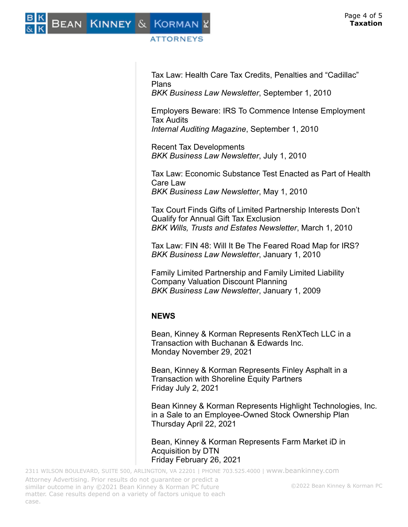BEAN KINNEY & KORMAN

## ATTORNEYS

Tax Law: Health Care Tax Credits, Penalties and "Cadillac" Plans

*BKK Business Law Newsletter*, September 1, 2010

Employers Beware: IRS To Commence Intense Employment Tax Audits *Internal Auditing Magazine*, September 1, 2010

Recent Tax Developments *BKK Business Law Newsletter*, July 1, 2010

Tax Law: Economic Substance Test Enacted as Part of Health Care Law *BKK Business Law Newsletter*, May 1, 2010

Tax Court Finds Gifts of Limited Partnership Interests Don't Qualify for Annual Gift Tax Exclusion *BKK Wills, Trusts and Estates Newsletter*, March 1, 2010

Tax Law: FIN 48: Will It Be The Feared Road Map for IRS? *BKK Business Law Newsletter*, January 1, 2010

Family Limited Partnership and Family Limited Liability Company Valuation Discount Planning *BKK Business Law Newsletter*, January 1, 2009

### **NEWS**

Bean, Kinney & Korman Represents RenXTech LLC in a Transaction with Buchanan & Edwards Inc. Monday November 29, 2021

Bean, Kinney & Korman Represents Finley Asphalt in a Transaction with Shoreline Equity Partners Friday July 2, 2021

Bean Kinney & Korman Represents Highlight Technologies, Inc. in a Sale to an Employee-Owned Stock Ownership Plan Thursday April 22, 2021

Bean, Kinney & Korman Represents Farm Market iD in Acquisition by DTN Friday February 26, 2021

2311 WILSON BOULEVARD, SUITE 500, ARLINGTON, VA 22201 | PHONE 703.525.4000 | [www.beankinney.com](http://www.beankinney.com/) Attorney Advertising. Prior results do not guarantee or predict a similar outcome in any ©2021 Bean Kinney & Korman PC future matter. Case results depend on a variety of factors unique to each case. ©2022 Bean Kinney & Korman PC